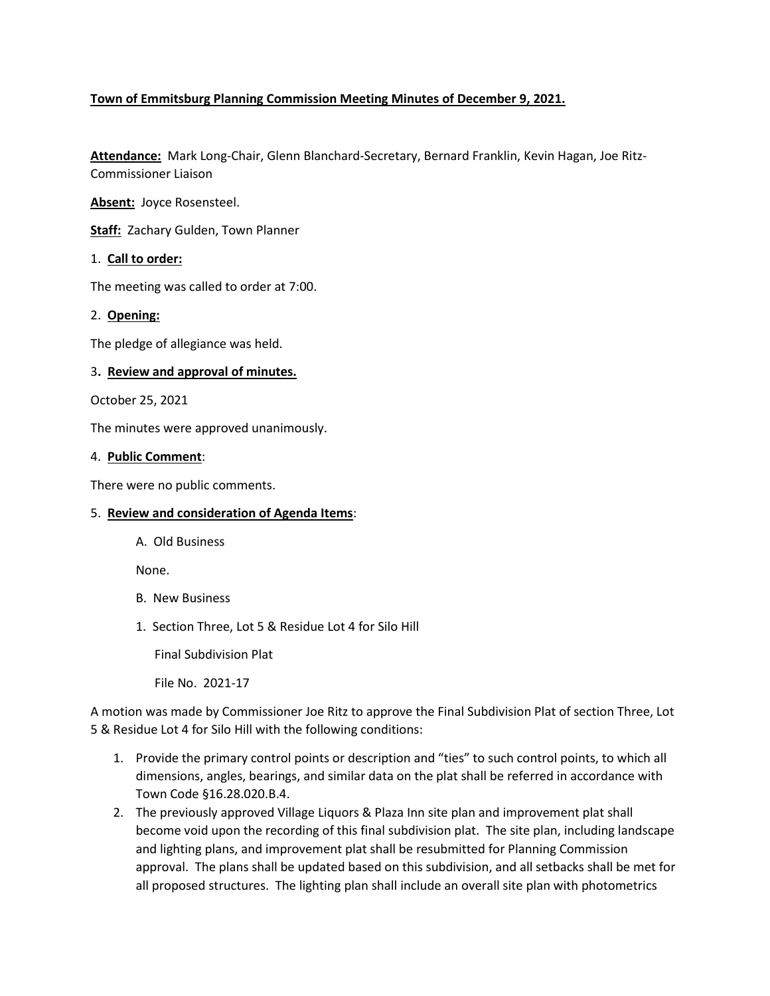# **Town of Emmitsburg Planning Commission Meeting Minutes of December 9, 2021.**

**Attendance:** Mark Long-Chair, Glenn Blanchard-Secretary, Bernard Franklin, Kevin Hagan, Joe Ritz-Commissioner Liaison

**Absent:** Joyce Rosensteel.

**Staff:** Zachary Gulden, Town Planner

### 1. **Call to order:**

The meeting was called to order at 7:00.

## 2. **Opening:**

The pledge of allegiance was held.

### 3**. Review and approval of minutes.**

October 25, 2021

The minutes were approved unanimously.

#### 4. **Public Comment**:

There were no public comments.

## 5. **Review and consideration of Agenda Items**:

A. Old Business

None.

- B. New Business
- 1. Section Three, Lot 5 & Residue Lot 4 for Silo Hill

Final Subdivision Plat

File No. 2021-17

A motion was made by Commissioner Joe Ritz to approve the Final Subdivision Plat of section Three, Lot 5 & Residue Lot 4 for Silo Hill with the following conditions:

- 1. Provide the primary control points or description and "ties" to such control points, to which all dimensions, angles, bearings, and similar data on the plat shall be referred in accordance with Town Code §16.28.020.B.4.
- 2. The previously approved Village Liquors & Plaza Inn site plan and improvement plat shall become void upon the recording of this final subdivision plat. The site plan, including landscape and lighting plans, and improvement plat shall be resubmitted for Planning Commission approval. The plans shall be updated based on this subdivision, and all setbacks shall be met for all proposed structures. The lighting plan shall include an overall site plan with photometrics